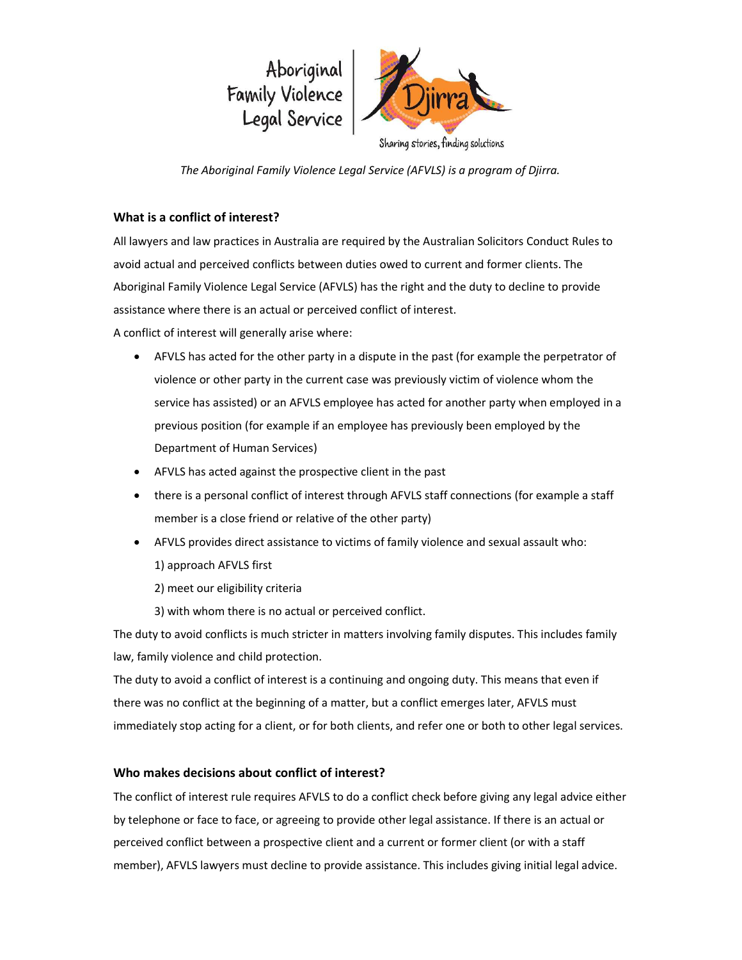

The Aboriginal Family Violence Legal Service (AFVLS) is a program of Djirra.

## What is a conflict of interest?

All lawyers and law practices in Australia are required by the Australian Solicitors Conduct Rules to avoid actual and perceived conflicts between duties owed to current and former clients. The Aboriginal Family Violence Legal Service (AFVLS) has the right and the duty to decline to provide assistance where there is an actual or perceived conflict of interest.

A conflict of interest will generally arise where:

- AFVLS has acted for the other party in a dispute in the past (for example the perpetrator of violence or other party in the current case was previously victim of violence whom the service has assisted) or an AFVLS employee has acted for another party when employed in a previous position (for example if an employee has previously been employed by the Department of Human Services)
- AFVLS has acted against the prospective client in the past
- there is a personal conflict of interest through AFVLS staff connections (for example a staff member is a close friend or relative of the other party)
- AFVLS provides direct assistance to victims of family violence and sexual assault who:
	- 1) approach AFVLS first
	- 2) meet our eligibility criteria
	- 3) with whom there is no actual or perceived conflict.

The duty to avoid conflicts is much stricter in matters involving family disputes. This includes family law, family violence and child protection.

The duty to avoid a conflict of interest is a continuing and ongoing duty. This means that even if there was no conflict at the beginning of a matter, but a conflict emerges later, AFVLS must immediately stop acting for a client, or for both clients, and refer one or both to other legal services.

## Who makes decisions about conflict of interest?

The conflict of interest rule requires AFVLS to do a conflict check before giving any legal advice either by telephone or face to face, or agreeing to provide other legal assistance. If there is an actual or perceived conflict between a prospective client and a current or former client (or with a staff member), AFVLS lawyers must decline to provide assistance. This includes giving initial legal advice.